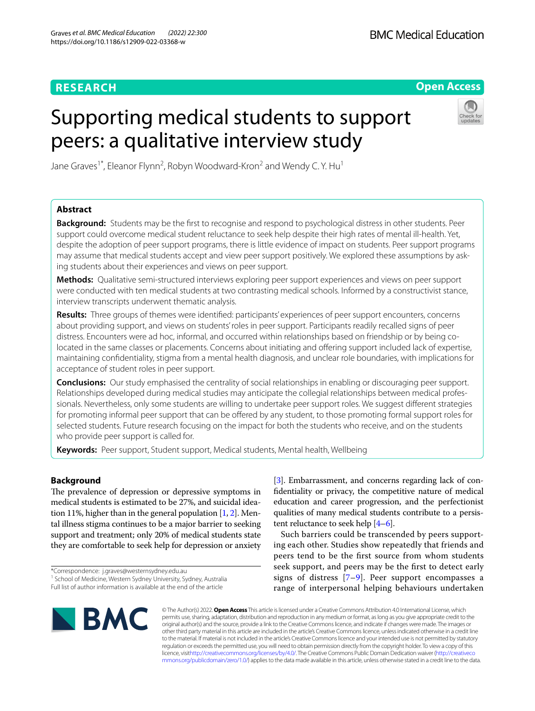# **RESEARCH**

# **Open Access**

# Supporting medical students to support peers: a qualitative interview study



Jane Graves<sup>1\*</sup>, Eleanor Flynn<sup>2</sup>, Robyn Woodward-Kron<sup>2</sup> and Wendy C. Y. Hu<sup>1</sup>

## **Abstract**

**Background:** Students may be the frst to recognise and respond to psychological distress in other students. Peer support could overcome medical student reluctance to seek help despite their high rates of mental ill-health. Yet, despite the adoption of peer support programs, there is little evidence of impact on students. Peer support programs may assume that medical students accept and view peer support positively. We explored these assumptions by asking students about their experiences and views on peer support.

**Methods:** Qualitative semi-structured interviews exploring peer support experiences and views on peer support were conducted with ten medical students at two contrasting medical schools. Informed by a constructivist stance, interview transcripts underwent thematic analysis.

**Results:** Three groups of themes were identifed: participants' experiences of peer support encounters, concerns about providing support, and views on students' roles in peer support. Participants readily recalled signs of peer distress. Encounters were ad hoc, informal, and occurred within relationships based on friendship or by being colocated in the same classes or placements. Concerns about initiating and offering support included lack of expertise, maintaining confdentiality, stigma from a mental health diagnosis, and unclear role boundaries, with implications for acceptance of student roles in peer support.

**Conclusions:** Our study emphasised the centrality of social relationships in enabling or discouraging peer support. Relationships developed during medical studies may anticipate the collegial relationships between medical professionals. Nevertheless, only some students are willing to undertake peer support roles. We suggest diferent strategies for promoting informal peer support that can be offered by any student, to those promoting formal support roles for selected students. Future research focusing on the impact for both the students who receive, and on the students who provide peer support is called for.

**Keywords:** Peer support, Student support, Medical students, Mental health, Wellbeing

# **Background**

The prevalence of depression or depressive symptoms in medical students is estimated to be 27%, and suicidal ideation 11%, higher than in the general population  $[1, 2]$  $[1, 2]$  $[1, 2]$  $[1, 2]$ . Mental illness stigma continues to be a major barrier to seeking support and treatment; only 20% of medical students state they are comfortable to seek help for depression or anxiety

\*Correspondence: j.graves@westernsydney.edu.au <sup>1</sup> School of Medicine, Western Sydney University, Sydney, Australia Full list of author information is available at the end of the article

[[3\]](#page-6-2). Embarrassment, and concerns regarding lack of confdentiality or privacy, the competitive nature of medical education and career progression, and the perfectionist qualities of many medical students contribute to a persistent reluctance to seek help [\[4–](#page-6-3)[6](#page-6-4)].

Such barriers could be transcended by peers supporting each other. Studies show repeatedly that friends and peers tend to be the frst source from whom students seek support, and peers may be the frst to detect early signs of distress [[7](#page-6-5)–[9](#page-6-6)]. Peer support encompasses a range of interpersonal helping behaviours undertaken



© The Author(s) 2022. **Open Access** This article is licensed under a Creative Commons Attribution 4.0 International License, which permits use, sharing, adaptation, distribution and reproduction in any medium or format, as long as you give appropriate credit to the original author(s) and the source, provide a link to the Creative Commons licence, and indicate if changes were made. The images or other third party material in this article are included in the article's Creative Commons licence, unless indicated otherwise in a credit line to the material. If material is not included in the article's Creative Commons licence and your intended use is not permitted by statutory regulation or exceeds the permitted use, you will need to obtain permission directly from the copyright holder. To view a copy of this licence, visi[thttp://creativecommons.org/licenses/by/4.0/](http://creativecommons.org/licenses/by/4.0/). The Creative Commons Public Domain Dedication waiver [\(http://creativeco](http://creativecommons.org/publicdomain/zero/1.0/) [mmons.org/publicdomain/zero/1.0/](http://creativecommons.org/publicdomain/zero/1.0/)) applies to the data made available in this article, unless otherwise stated in a credit line to the data.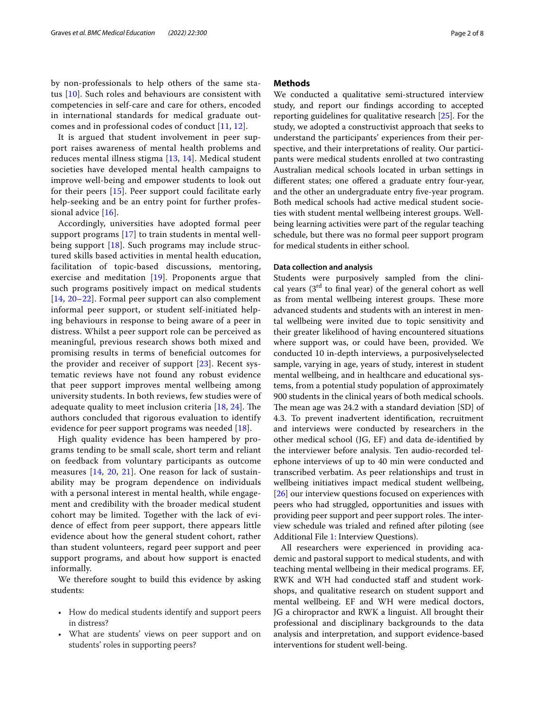by non-professionals to help others of the same status [[10\]](#page-6-7). Such roles and behaviours are consistent with competencies in self-care and care for others, encoded in international standards for medical graduate outcomes and in professional codes of conduct [\[11,](#page-6-8) [12](#page-6-9)].

It is argued that student involvement in peer support raises awareness of mental health problems and reduces mental illness stigma [[13,](#page-6-10) [14](#page-6-11)]. Medical student societies have developed mental health campaigns to improve well-being and empower students to look out for their peers [\[15\]](#page-6-12). Peer support could facilitate early help-seeking and be an entry point for further professional advice [\[16\]](#page-6-13).

Accordingly, universities have adopted formal peer support programs [[17\]](#page-6-14) to train students in mental wellbeing support [\[18](#page-6-15)]. Such programs may include structured skills based activities in mental health education, facilitation of topic-based discussions, mentoring, exercise and meditation [[19\]](#page-6-16). Proponents argue that such programs positively impact on medical students [[14](#page-6-11), [20–](#page-6-17)[22\]](#page-6-18). Formal peer support can also complement informal peer support, or student self-initiated helping behaviours in response to being aware of a peer in distress. Whilst a peer support role can be perceived as meaningful, previous research shows both mixed and promising results in terms of beneficial outcomes for the provider and receiver of support [[23](#page-7-0)]. Recent systematic reviews have not found any robust evidence that peer support improves mental wellbeing among university students. In both reviews, few studies were of adequate quality to meet inclusion criteria  $[18, 24]$  $[18, 24]$  $[18, 24]$  $[18, 24]$ . The authors concluded that rigorous evaluation to identify evidence for peer support programs was needed [[18\]](#page-6-15).

High quality evidence has been hampered by programs tending to be small scale, short term and reliant on feedback from voluntary participants as outcome measures [\[14](#page-6-11), [20,](#page-6-17) [21\]](#page-6-19). One reason for lack of sustainability may be program dependence on individuals with a personal interest in mental health, while engagement and credibility with the broader medical student cohort may be limited. Together with the lack of evidence of efect from peer support, there appears little evidence about how the general student cohort, rather than student volunteers, regard peer support and peer support programs, and about how support is enacted informally.

We therefore sought to build this evidence by asking students:

- How do medical students identify and support peers in distress?
- What are students' views on peer support and on students' roles in supporting peers?

#### **Methods**

We conducted a qualitative semi-structured interview study, and report our fndings according to accepted reporting guidelines for qualitative research [[25\]](#page-7-2). For the study, we adopted a constructivist approach that seeks to understand the participants' experiences from their perspective, and their interpretations of reality. Our participants were medical students enrolled at two contrasting Australian medical schools located in urban settings in diferent states; one ofered a graduate entry four-year, and the other an undergraduate entry five-year program. Both medical schools had active medical student societies with student mental wellbeing interest groups. Wellbeing learning activities were part of the regular teaching schedule, but there was no formal peer support program for medical students in either school.

#### **Data collection and analysis**

Students were purposively sampled from the clinical years  $(3<sup>rd</sup>$  to final year) of the general cohort as well as from mental wellbeing interest groups. These more advanced students and students with an interest in mental wellbeing were invited due to topic sensitivity and their greater likelihood of having encountered situations where support was, or could have been, provided. We conducted 10 in-depth interviews, a purposivelyselected sample, varying in age, years of study, interest in student mental wellbeing, and in healthcare and educational systems, from a potential study population of approximately 900 students in the clinical years of both medical schools. The mean age was 24.2 with a standard deviation [SD] of 4.3. To prevent inadvertent identifcation, recruitment and interviews were conducted by researchers in the other medical school (JG, EF) and data de-identifed by the interviewer before analysis. Ten audio-recorded telephone interviews of up to 40 min were conducted and transcribed verbatim. As peer relationships and trust in wellbeing initiatives impact medical student wellbeing, [[26\]](#page-7-3) our interview questions focused on experiences with peers who had struggled, opportunities and issues with providing peer support and peer support roles. The interview schedule was trialed and refned after piloting (see Additional File [1](#page-6-20): Interview Questions).

All researchers were experienced in providing academic and pastoral support to medical students, and with teaching mental wellbeing in their medical programs. EF, RWK and WH had conducted staff and student workshops, and qualitative research on student support and mental wellbeing. EF and WH were medical doctors, JG a chiropractor and RWK a linguist. All brought their professional and disciplinary backgrounds to the data analysis and interpretation, and support evidence-based interventions for student well-being.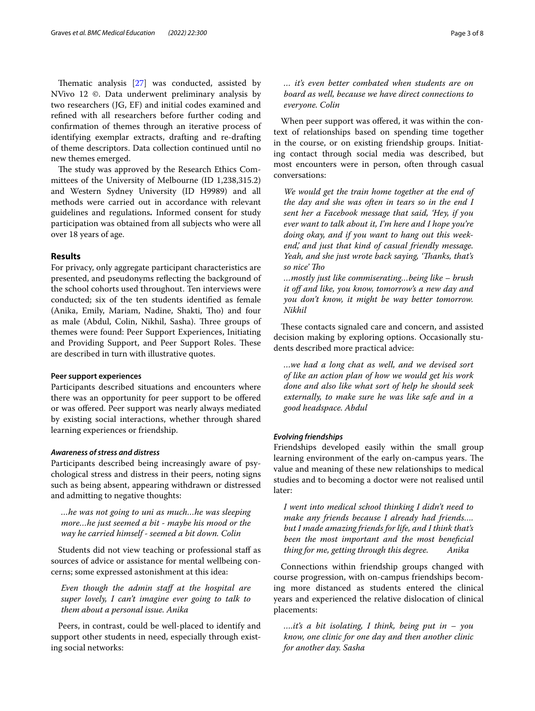Thematic analysis  $[27]$  $[27]$  was conducted, assisted by NVivo 12 ©. Data underwent preliminary analysis by two researchers (JG, EF) and initial codes examined and refned with all researchers before further coding and confrmation of themes through an iterative process of identifying exemplar extracts, drafting and re-drafting of theme descriptors. Data collection continued until no new themes emerged.

The study was approved by the Research Ethics Committees of the University of Melbourne (ID 1,238,315.2) and Western Sydney University (ID H9989) and all methods were carried out in accordance with relevant guidelines and regulations**.** Informed consent for study participation was obtained from all subjects who were all over 18 years of age.

#### **Results**

For privacy, only aggregate participant characteristics are presented, and pseudonyms refecting the background of the school cohorts used throughout. Ten interviews were conducted; six of the ten students identifed as female (Anika, Emily, Mariam, Nadine, Shakti, Tho) and four as male (Abdul, Colin, Nikhil, Sasha). Three groups of themes were found: Peer Support Experiences, Initiating and Providing Support, and Peer Support Roles. These are described in turn with illustrative quotes.

#### **Peer support experiences**

Participants described situations and encounters where there was an opportunity for peer support to be ofered or was ofered. Peer support was nearly always mediated by existing social interactions, whether through shared learning experiences or friendship.

#### *Awareness of stress and distress*

Participants described being increasingly aware of psychological stress and distress in their peers, noting signs such as being absent, appearing withdrawn or distressed and admitting to negative thoughts:

*…he was not going to uni as much…he was sleeping more…he just seemed a bit - maybe his mood or the way he carried himself - seemed a bit down. Colin*

Students did not view teaching or professional staf as sources of advice or assistance for mental wellbeing concerns; some expressed astonishment at this idea:

*Even though the admin staf at the hospital are super lovely, I can't imagine ever going to talk to them about a personal issue. Anika*

Peers, in contrast, could be well-placed to identify and support other students in need, especially through existing social networks:

*… it's even better combated when students are on board as well, because we have direct connections to everyone. Colin*

When peer support was offered, it was within the context of relationships based on spending time together in the course, or on existing friendship groups. Initiating contact through social media was described, but most encounters were in person, often through casual conversations:

*We would get the train home together at the end of the day and she was often in tears so in the end I sent her a Facebook message that said, 'Hey, if you ever want to talk about it, I'm here and I hope you're doing okay, and if you want to hang out this weekend,' and just that kind of casual friendly message. Yeah, and she just wrote back saying, 'Tanks, that's so nice' To*

*…mostly just like commiserating…being like – brush*  it off and like, you know, tomorrow's a new day and *you don't know, it might be way better tomorrow. Nikhil*

These contacts signaled care and concern, and assisted decision making by exploring options. Occasionally students described more practical advice:

*…we had a long chat as well, and we devised sort of like an action plan of how we would get his work done and also like what sort of help he should seek externally, to make sure he was like safe and in a good headspace. Abdul*

#### *Evolving friendships*

Friendships developed easily within the small group learning environment of the early on-campus years. The value and meaning of these new relationships to medical studies and to becoming a doctor were not realised until later:

*I went into medical school thinking I didn't need to make any friends because I already had friends…. but I made amazing friends for life, and I think that's been the most important and the most benefcial thing for me, getting through this degree. Anika*

Connections within friendship groups changed with course progression, with on-campus friendships becoming more distanced as students entered the clinical years and experienced the relative dislocation of clinical placements:

*….it's a bit isolating, I think, being put in – you know, one clinic for one day and then another clinic for another day. Sasha*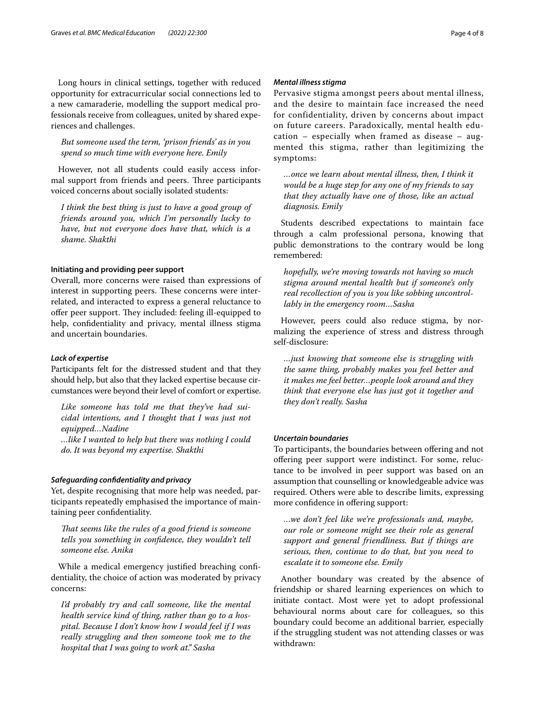Long hours in clinical settings, together with reduced opportunity for extracurricular social connections led to a new camaraderie, modelling the support medical professionals receive from colleagues, united by shared experiences and challenges.

*But someone used the term, 'prison friends' as in you spend so much time with everyone here. Emily*

However, not all students could easily access informal support from friends and peers. Three participants voiced concerns about socially isolated students:

*I think the best thing is just to have a good group of friends around you, which I'm personally lucky to have, but not everyone does have that, which is a shame. Shakthi*

#### **Initiating and providing peer support**

Overall, more concerns were raised than expressions of interest in supporting peers. These concerns were interrelated, and interacted to express a general reluctance to offer peer support. They included: feeling ill-equipped to help, confdentiality and privacy, mental illness stigma and uncertain boundaries.

#### *Lack of expertise*

Participants felt for the distressed student and that they should help, but also that they lacked expertise because circumstances were beyond their level of comfort or expertise.

*Like someone has told me that they've had suicidal intentions, and I thought that I was just not equipped…Nadine*

*…like I wanted to help but there was nothing I could do. It was beyond my expertise. Shakthi*

#### *Safeguarding confdentiality and privacy*

Yet, despite recognising that more help was needed, participants repeatedly emphasised the importance of maintaining peer confdentiality.

*Tat seems like the rules of a good friend is someone tells you something in confdence, they wouldn't tell someone else. Anika*

While a medical emergency justifed breaching confdentiality, the choice of action was moderated by privacy concerns:

*I'd probably try and call someone, like the mental health service kind of thing, rather than go to a hospital. Because I don't know how I would feel if I was really struggling and then someone took me to the hospital that I was going to work at." Sasha*

#### *Mental illness stigma*

Pervasive stigma amongst peers about mental illness, and the desire to maintain face increased the need for confidentiality, driven by concerns about impact on future careers. Paradoxically, mental health education – especially when framed as disease – augmented this stigma, rather than legitimizing the symptoms:

*…once we learn about mental illness, then, I think it would be a huge step for any one of my friends to say that they actually have one of those, like an actual diagnosis. Emily*

Students described expectations to maintain face through a calm professional persona, knowing that public demonstrations to the contrary would be long remembered:

*hopefully, we're moving towards not having so much stigma around mental health but if someone's only real recollection of you is you like sobbing uncontrollably in the emergency room…Sasha*

However, peers could also reduce stigma, by normalizing the experience of stress and distress through self-disclosure:

*…just knowing that someone else is struggling with the same thing, probably makes you feel better and it makes me feel better…people look around and they think that everyone else has just got it together and they don't really. Sasha*

#### *Uncertain boundaries*

To participants, the boundaries between offering and not ofering peer support were indistinct. For some, reluctance to be involved in peer support was based on an assumption that counselling or knowledgeable advice was required. Others were able to describe limits, expressing more confdence in ofering support:

*…we don't feel like we're professionals and, maybe, our role or someone might see their role as general support and general friendliness. But if things are serious, then, continue to do that, but you need to escalate it to someone else. Emily*

Another boundary was created by the absence of friendship or shared learning experiences on which to initiate contact. Most were yet to adopt professional behavioural norms about care for colleagues, so this boundary could become an additional barrier, especially if the struggling student was not attending classes or was withdrawn: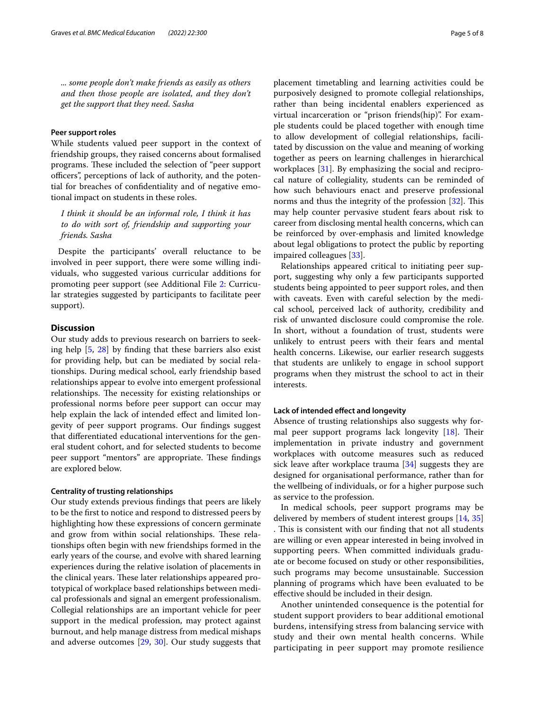*... some people don't make friends as easily as others and then those people are isolated, and they don't get the support that they need. Sasha*

#### **Peer support roles**

While students valued peer support in the context of friendship groups, they raised concerns about formalised programs. These included the selection of "peer support" officers", perceptions of lack of authority, and the potential for breaches of confdentiality and of negative emotional impact on students in these roles.

*I think it should be an informal role, I think it has to do with sort of, friendship and supporting your friends. Sasha*

Despite the participants' overall reluctance to be involved in peer support, there were some willing individuals, who suggested various curricular additions for promoting peer support (see Additional File [2](#page-6-21): Curricular strategies suggested by participants to facilitate peer support).

### **Discussion**

Our study adds to previous research on barriers to seeking help [[5,](#page-6-22) [28](#page-7-5)] by fnding that these barriers also exist for providing help, but can be mediated by social relationships. During medical school, early friendship based relationships appear to evolve into emergent professional relationships. The necessity for existing relationships or professional norms before peer support can occur may help explain the lack of intended effect and limited longevity of peer support programs. Our fndings suggest that diferentiated educational interventions for the general student cohort, and for selected students to become peer support "mentors" are appropriate. These findings are explored below.

#### **Centrality of trusting relationships**

Our study extends previous fndings that peers are likely to be the frst to notice and respond to distressed peers by highlighting how these expressions of concern germinate and grow from within social relationships. These relationships often begin with new friendships formed in the early years of the course, and evolve with shared learning experiences during the relative isolation of placements in the clinical years. These later relationships appeared prototypical of workplace based relationships between medical professionals and signal an emergent professionalism. Collegial relationships are an important vehicle for peer support in the medical profession, may protect against burnout, and help manage distress from medical mishaps and adverse outcomes [\[29](#page-7-6), [30\]](#page-7-7). Our study suggests that placement timetabling and learning activities could be purposively designed to promote collegial relationships, rather than being incidental enablers experienced as virtual incarceration or "prison friends(hip)". For example students could be placed together with enough time to allow development of collegial relationships, facilitated by discussion on the value and meaning of working together as peers on learning challenges in hierarchical workplaces [[31\]](#page-7-8). By emphasizing the social and reciprocal nature of collegiality, students can be reminded of how such behaviours enact and preserve professional norms and thus the integrity of the profession  $[32]$  $[32]$ . This may help counter pervasive student fears about risk to career from disclosing mental health concerns, which can be reinforced by over-emphasis and limited knowledge about legal obligations to protect the public by reporting impaired colleagues [\[33](#page-7-10)].

Relationships appeared critical to initiating peer support, suggesting why only a few participants supported students being appointed to peer support roles, and then with caveats. Even with careful selection by the medical school, perceived lack of authority, credibility and risk of unwanted disclosure could compromise the role. In short, without a foundation of trust, students were unlikely to entrust peers with their fears and mental health concerns. Likewise, our earlier research suggests that students are unlikely to engage in school support programs when they mistrust the school to act in their interests.

#### **Lack of intended efect and longevity**

Absence of trusting relationships also suggests why formal peer support programs lack longevity  $[18]$  $[18]$  $[18]$ . Their implementation in private industry and government workplaces with outcome measures such as reduced sick leave after workplace trauma [\[34\]](#page-7-11) suggests they are designed for organisational performance, rather than for the wellbeing of individuals, or for a higher purpose such as service to the profession.

In medical schools, peer support programs may be delivered by members of student interest groups [[14](#page-6-11), [35](#page-7-12)] . This is consistent with our finding that not all students are willing or even appear interested in being involved in supporting peers. When committed individuals graduate or become focused on study or other responsibilities, such programs may become unsustainable. Succession planning of programs which have been evaluated to be efective should be included in their design.

Another unintended consequence is the potential for student support providers to bear additional emotional burdens, intensifying stress from balancing service with study and their own mental health concerns. While participating in peer support may promote resilience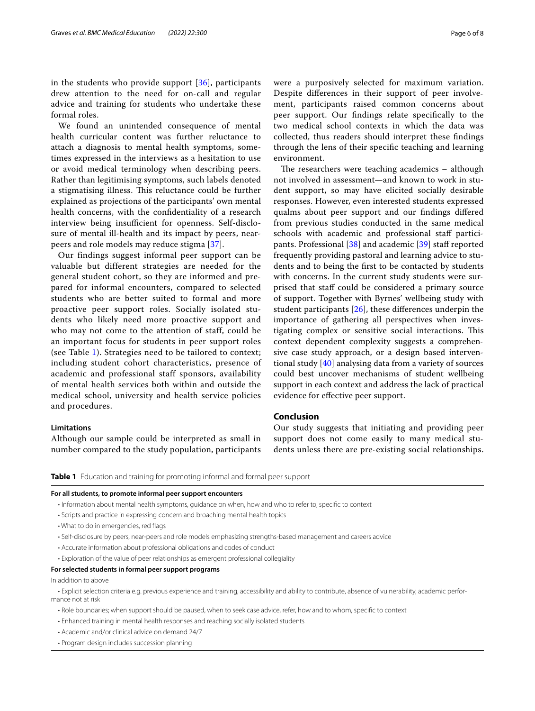in the students who provide support [[36\]](#page-7-13), participants drew attention to the need for on-call and regular advice and training for students who undertake these formal roles.

We found an unintended consequence of mental health curricular content was further reluctance to attach a diagnosis to mental health symptoms, sometimes expressed in the interviews as a hesitation to use or avoid medical terminology when describing peers. Rather than legitimising symptoms, such labels denoted a stigmatising illness. This reluctance could be further explained as projections of the participants' own mental health concerns, with the confdentiality of a research interview being insufficient for openness. Self-disclosure of mental ill-health and its impact by peers, nearpeers and role models may reduce stigma [\[37](#page-7-14)].

Our findings suggest informal peer support can be valuable but different strategies are needed for the general student cohort, so they are informed and prepared for informal encounters, compared to selected students who are better suited to formal and more proactive peer support roles. Socially isolated students who likely need more proactive support and who may not come to the attention of staff, could be an important focus for students in peer support roles (see Table [1](#page-5-0)). Strategies need to be tailored to context; including student cohort characteristics, presence of academic and professional staff sponsors, availability of mental health services both within and outside the medical school, university and health service policies and procedures.

#### **Limitations**

Although our sample could be interpreted as small in number compared to the study population, participants were a purposively selected for maximum variation. Despite diferences in their support of peer involvement, participants raised common concerns about peer support. Our fndings relate specifcally to the two medical school contexts in which the data was collected, thus readers should interpret these fndings through the lens of their specifc teaching and learning environment.

The researchers were teaching academics  $-$  although not involved in assessment—and known to work in student support, so may have elicited socially desirable responses. However, even interested students expressed qualms about peer support and our fndings difered from previous studies conducted in the same medical schools with academic and professional staff partici-pants. Professional [[38\]](#page-7-15) and academic [[39\]](#page-7-16) staff reported frequently providing pastoral and learning advice to students and to being the frst to be contacted by students with concerns. In the current study students were surprised that staff could be considered a primary source of support. Together with Byrnes' wellbeing study with student participants  $[26]$  $[26]$ , these differences underpin the importance of gathering all perspectives when investigating complex or sensitive social interactions. This context dependent complexity suggests a comprehensive case study approach, or a design based interventional study [\[40](#page-7-17)] analysing data from a variety of sources could best uncover mechanisms of student wellbeing support in each context and address the lack of practical evidence for efective peer support.

#### **Conclusion**

Our study suggests that initiating and providing peer support does not come easily to many medical students unless there are pre-existing social relationships.

<span id="page-5-0"></span>**Table 1** Education and training for promoting informal and formal peer support

#### **For all students, to promote informal peer support encounters**

- Information about mental health symptoms, guidance on when, how and who to refer to, specifc to context
- Scripts and practice in expressing concern and broaching mental health topics
- What to do in emergencies, red fags
- Self-disclosure by peers, near-peers and role models emphasizing strengths-based management and careers advice
- Accurate information about professional obligations and codes of conduct
- Exploration of the value of peer relationships as emergent professional collegiality

#### **For selected students in formal peer support programs**

In addition to above

• Explicit selection criteria e.g. previous experience and training, accessibility and ability to contribute, absence of vulnerability, academic perfor‑ mance not at risk

- Role boundaries; when support should be paused, when to seek case advice, refer, how and to whom, specifc to context
- Enhanced training in mental health responses and reaching socially isolated students
- Academic and/or clinical advice on demand 24/7
- Program design includes succession planning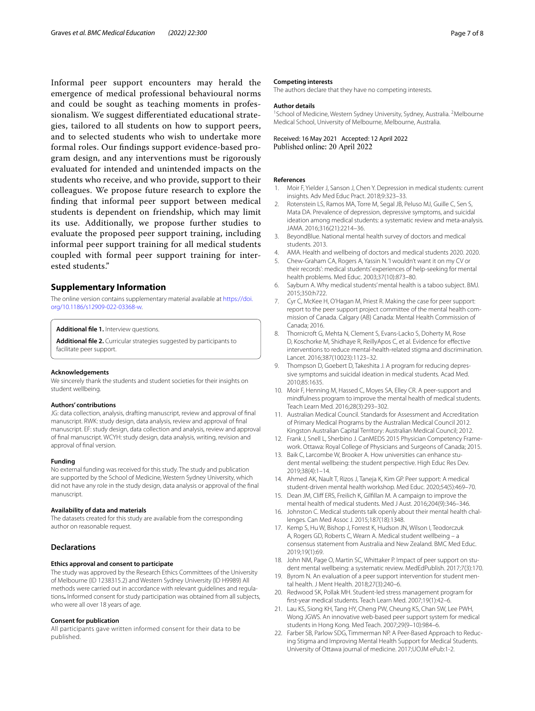Informal peer support encounters may herald the emergence of medical professional behavioural norms and could be sought as teaching moments in professionalism. We suggest diferentiated educational strategies, tailored to all students on how to support peers, and to selected students who wish to undertake more formal roles. Our fndings support evidence-based program design, and any interventions must be rigorously evaluated for intended and unintended impacts on the students who receive, and who provide, support to their colleagues. We propose future research to explore the fnding that informal peer support between medical students is dependent on friendship, which may limit its use. Additionally, we propose further studies to evaluate the proposed peer support training, including informal peer support training for all medical students coupled with formal peer support training for interested students."

#### **Supplementary Information**

The online version contains supplementary material available at [https://doi.](https://doi.org/10.1186/s12909-022-03368-w) [org/10.1186/s12909-022-03368-w.](https://doi.org/10.1186/s12909-022-03368-w)

#### <span id="page-6-21"></span><span id="page-6-20"></span>**Additional fle 1.** Interview questions.

**Additional fle 2.** Curricular strategies suggested by participants to facilitate peer support.

#### **Acknowledgements**

We sincerely thank the students and student societies for their insights on student wellbeing.

#### **Authors' contributions**

JG: data collection, analysis, drafting manuscript, review and approval of fnal manuscript. RWK: study design, data analysis, review and approval of fnal manuscript. EF: study design, data collection and analysis, review and approval of fnal manuscript. WCYH: study design, data analysis, writing, revision and approval of fnal version.

#### **Funding**

No external funding was received for this study. The study and publication are supported by the School of Medicine, Western Sydney University, which did not have any role in the study design, data analysis or approval of the fnal manuscript.

#### **Availability of data and materials**

The datasets created for this study are available from the corresponding author on reasonable request.

#### **Declarations**

#### **Ethics approval and consent to participate**

The study was approved by the Research Ethics Committees of the University of Melbourne (ID 1238315.2) and Western Sydney University (ID H9989) All methods were carried out in accordance with relevant guidelines and regulations**.** Informed consent for study participation was obtained from all subjects, who were all over 18 years of age.

#### **Consent for publication**

All participants gave written informed consent for their data to be published.

#### **Competing interests**

The authors declare that they have no competing interests.

#### **Author details**

<sup>1</sup> School of Medicine, Western Sydney University, Sydney, Australia. <sup>2</sup> Melbourne Medical School, University of Melbourne, Melbourne, Australia.

Received: 16 May 2021 Accepted: 12 April 2022

#### **References**

- <span id="page-6-0"></span>1. Moir F, Yielder J, Sanson J, Chen Y. Depression in medical students: current insights. Adv Med Educ Pract. 2018;9:323–33.
- <span id="page-6-1"></span>2. Rotenstein LS, Ramos MA, Torre M, Segal JB, Peluso MJ, Guille C, Sen S, Mata DA. Prevalence of depression, depressive symptoms, and suicidal ideation among medical students: a systematic review and meta-analysis. JAMA. 2016;316(21):2214–36.
- <span id="page-6-2"></span>3. BeyondBlue. National mental health survey of doctors and medical students. 2013.
- <span id="page-6-3"></span>4. AMA. Health and wellbeing of doctors and medical students 2020. 2020.
- <span id="page-6-22"></span>5. Chew-Graham CA, Rogers A, Yassin N. 'I wouldn't want it on my CV or their records': medical students' experiences of help-seeking for mental health problems. Med Educ. 2003;37(10):873–80.
- <span id="page-6-4"></span>6. Sayburn A. Why medical students' mental health is a taboo subject. BMJ. 2015;350:h722.
- <span id="page-6-5"></span>7. Cyr C, McKee H, O'Hagan M, Priest R. Making the case for peer support: report to the peer support project committee of the mental health commission of Canada. Calgary (AB) Canada: Mental Health Commission of Canada; 2016.
- 8. Thornicroft G, Mehta N, Clement S, Evans-Lacko S, Doherty M, Rose D, Koschorke M, Shidhaye R, ReillyApos C, et al. Evidence for efective interventions to reduce mental-health-related stigma and discrimination. Lancet. 2016;387(10023):1123–32.
- <span id="page-6-6"></span>9. Thompson D, Goebert D, Takeshita J. A program for reducing depressive symptoms and suicidal ideation in medical students. Acad Med. 2010;85:1635.
- <span id="page-6-7"></span>10. Moir F, Henning M, Hassed C, Moyes SA, Elley CR. A peer-support and mindfulness program to improve the mental health of medical students. Teach Learn Med. 2016;28(3):293–302.
- <span id="page-6-8"></span>11. Australian Medical Council. Standards for Assessment and Accreditation of Primary Medical Programs by the Australian Medical Council 2012. Kingston Australian Capital Territory: Australian Medical Council; 2012.
- <span id="page-6-9"></span>12. Frank J, Snell L, Sherbino J. CanMEDS 2015 Physician Competency Framework. Ottawa: Royal College of Physicians and Surgeons of Canada; 2015.
- <span id="page-6-10"></span>13. Baik C, Larcombe W, Brooker A. How universities can enhance student mental wellbeing: the student perspective. High Educ Res Dev. 2019;38(4):1–14.
- <span id="page-6-11"></span>14. Ahmed AK, Nault T, Rizos J, Taneja K, Kim GP. Peer support: A medical student-driven mental health workshop. Med Educ. 2020;54(5):469–70.
- <span id="page-6-12"></span>15. Dean JM, Cliff ERS, Freilich K, Gilfillan M. A campaign to improve the mental health of medical students. Med J Aust. 2016;204(9):346–346.
- <span id="page-6-13"></span>16. Johnston C. Medical students talk openly about their mental health challenges. Can Med Assoc J. 2015;187(18):1348.
- <span id="page-6-14"></span>17. Kemp S, Hu W, Bishop J, Forrest K, Hudson JN, Wilson I, Teodorczuk A, Rogers GD, Roberts C, Wearn A. Medical student wellbeing – a consensus statement from Australia and New Zealand. BMC Med Educ. 2019;19(1):69.
- <span id="page-6-15"></span>18. John NM, Page O, Martin SC, Whittaker P. Impact of peer support on student mental wellbeing: a systematic review. MedEdPublish. 2017;7(3):170.
- <span id="page-6-16"></span>19. Byrom N. An evaluation of a peer support intervention for student mental health. J Ment Health. 2018;27(3):240–6.
- <span id="page-6-17"></span>20. Redwood SK, Pollak MH. Student-led stress management program for frst-year medical students. Teach Learn Med. 2007;19(1):42–6.
- <span id="page-6-19"></span>21. Lau KS, Siong KH, Tang HY, Cheng PW, Cheung KS, Chan SW, Lee PWH, Wong JGWS. An innovative web-based peer support system for medical students in Hong Kong. Med Teach. 2007;29(9–10):984–6.
- <span id="page-6-18"></span>22. Farber SB, Parlow SDG, Timmerman NP. A Peer-Based Approach to Reducing Stigma and Improving Mental Health Support for Medical Students. University of Ottawa journal of medicine. 2017;UOJM ePub:1-2.